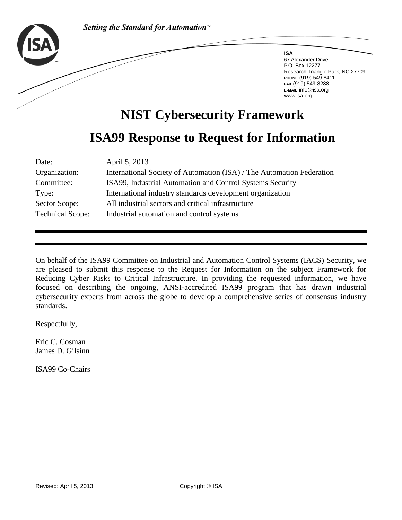

**ISA** 67 Alexander Drive P.O. Box 12277 Research Triangle Park, NC 27709 **PHONE** (919) 549-8411 **FAX** (919) 549-8288 **E-MAIL** info@isa.org www.isa.org

# **NIST Cybersecurity Framework ISA99 Response to Request for Information**

### Date: April 5, 2013

| Organization:           | International Society of Automation (ISA) / The Automation Federation |
|-------------------------|-----------------------------------------------------------------------|
| Committee:              | ISA99, Industrial Automation and Control Systems Security             |
| Type:                   | International industry standards development organization             |
| Sector Scope:           | All industrial sectors and critical infrastructure                    |
| <b>Technical Scope:</b> | Industrial automation and control systems                             |
|                         |                                                                       |

On behalf of the ISA99 Committee on Industrial and Automation Control Systems (IACS) Security, we are pleased to submit this response to the Request for Information on the subject Framework for Reducing Cyber Risks to Critical Infrastructure. In providing the requested information, we have focused on describing the ongoing, ANSI-accredited ISA99 program that has drawn industrial cybersecurity experts from across the globe to develop a comprehensive series of consensus industry standards.

Respectfully,

Eric C. Cosman James D. Gilsinn

ISA99 Co-Chairs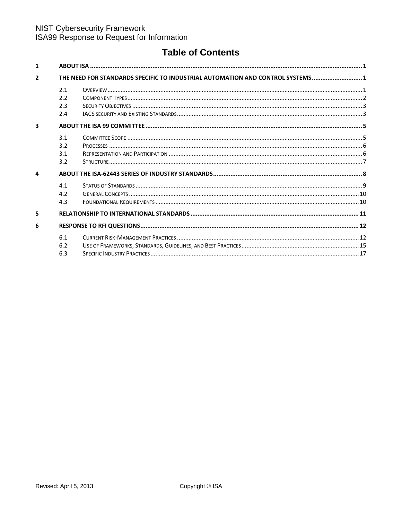### **Table of Contents**

| $\mathbf{1}$            |                                                                                |  |  |
|-------------------------|--------------------------------------------------------------------------------|--|--|
| $\overline{\mathbf{2}}$ | THE NEED FOR STANDARDS SPECIFIC TO INDUSTRIAL AUTOMATION AND CONTROL SYSTEMS 1 |  |  |
|                         | 2.1                                                                            |  |  |
|                         | 2.2                                                                            |  |  |
|                         | 2.3                                                                            |  |  |
|                         | 2.4                                                                            |  |  |
| $\overline{\mathbf{3}}$ |                                                                                |  |  |
|                         | 3.1                                                                            |  |  |
|                         | 3.2                                                                            |  |  |
|                         | 3.1                                                                            |  |  |
|                         | 3.2                                                                            |  |  |
| $\mathbf{a}$            |                                                                                |  |  |
|                         | 4.1                                                                            |  |  |
|                         | 4.2                                                                            |  |  |
|                         | 4.3                                                                            |  |  |
| 5                       |                                                                                |  |  |
| 6                       |                                                                                |  |  |
|                         | 6.1                                                                            |  |  |
|                         | 6.2                                                                            |  |  |
|                         | 6.3                                                                            |  |  |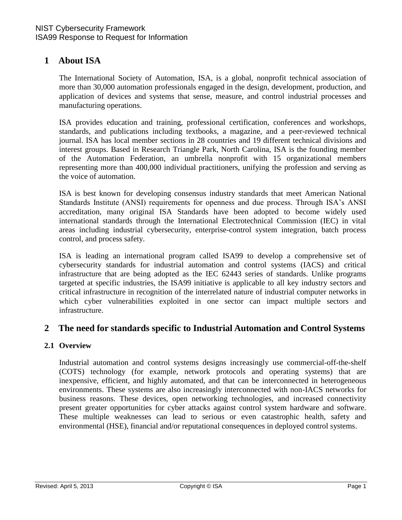### <span id="page-2-0"></span>**1 About ISA**

The International Society of Automation, ISA, is a global, nonprofit technical association of more than 30,000 automation professionals engaged in the design, development, production, and application of devices and systems that sense, measure, and control industrial processes and manufacturing operations.

ISA provides education and training, professional certification, conferences and workshops, standards, and publications including textbooks, a magazine, and a peer-reviewed technical journal. ISA has local member sections in 28 countries and 19 different technical divisions and interest groups. Based in Research Triangle Park, North Carolina, ISA is the founding member of the Automation Federation, an umbrella nonprofit with 15 organizational members representing more than 400,000 individual practitioners, unifying the profession and serving as the voice of automation.

ISA is best known for developing consensus industry standards that meet American National Standards Institute (ANSI) requirements for openness and due process. Through ISA's ANSI accreditation, many original ISA Standards have been adopted to become widely used international standards through the International Electrotechnical Commission (IEC) in vital areas including industrial cybersecurity, enterprise-control system integration, batch process control, and process safety.

ISA is leading an international program called ISA99 to develop a comprehensive set of cybersecurity standards for industrial automation and control systems (IACS) and critical infrastructure that are being adopted as the IEC 62443 series of standards. Unlike programs targeted at specific industries, the ISA99 initiative is applicable to all key industry sectors and critical infrastructure in recognition of the interrelated nature of industrial computer networks in which cyber vulnerabilities exploited in one sector can impact multiple sectors and infrastructure.

### <span id="page-2-1"></span>**2 The need for standards specific to Industrial Automation and Control Systems**

#### <span id="page-2-2"></span>**2.1 Overview**

Industrial automation and control systems designs increasingly use commercial-off-the-shelf (COTS) technology (for example, network protocols and operating systems) that are inexpensive, efficient, and highly automated, and that can be interconnected in heterogeneous environments. These systems are also increasingly interconnected with non-IACS networks for business reasons. These devices, open networking technologies, and increased connectivity present greater opportunities for cyber attacks against control system hardware and software. These multiple weaknesses can lead to serious or even catastrophic health, safety and environmental (HSE), financial and/or reputational consequences in deployed control systems.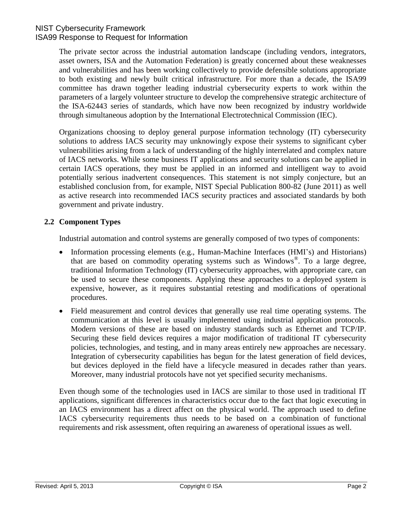The private sector across the industrial automation landscape (including vendors, integrators, asset owners, ISA and the Automation Federation) is greatly concerned about these weaknesses and vulnerabilities and has been working collectively to provide defensible solutions appropriate to both existing and newly built critical infrastructure. For more than a decade, the ISA99 committee has drawn together leading industrial cybersecurity experts to work within the parameters of a largely volunteer structure to develop the comprehensive strategic architecture of the ISA-62443 series of standards, which have now been recognized by industry worldwide through simultaneous adoption by the International Electrotechnical Commission (IEC).

Organizations choosing to deploy general purpose information technology (IT) cybersecurity solutions to address IACS security may unknowingly expose their systems to significant cyber vulnerabilities arising from a lack of understanding of the highly interrelated and complex nature of IACS networks. While some business IT applications and security solutions can be applied in certain IACS operations, they must be applied in an informed and intelligent way to avoid potentially serious inadvertent consequences. This statement is not simply conjecture, but an established conclusion from, for example, NIST Special Publication 800-82 (June 2011) as well as active research into recommended IACS security practices and associated standards by both government and private industry.

### <span id="page-3-0"></span>**2.2 Component Types**

Industrial automation and control systems are generally composed of two types of components:

- Information processing elements (e.g., Human-Machine Interfaces (HMI's) and Historians) that are based on commodity operating systems such as Windows® . To a large degree, traditional Information Technology (IT) cybersecurity approaches, with appropriate care, can be used to secure these components. Applying these approaches to a deployed system is expensive, however, as it requires substantial retesting and modifications of operational procedures.
- Field measurement and control devices that generally use real time operating systems. The communication at this level is usually implemented using industrial application protocols. Modern versions of these are based on industry standards such as Ethernet and TCP/IP. Securing these field devices requires a major modification of traditional IT cybersecurity policies, technologies, and testing, and in many areas entirely new approaches are necessary. Integration of cybersecurity capabilities has begun for the latest generation of field devices, but devices deployed in the field have a lifecycle measured in decades rather than years. Moreover, many industrial protocols have not yet specified security mechanisms.

Even though some of the technologies used in IACS are similar to those used in traditional IT applications, significant differences in characteristics occur due to the fact that logic executing in an IACS environment has a direct affect on the physical world. The approach used to define IACS cybersecurity requirements thus needs to be based on a combination of functional requirements and risk assessment, often requiring an awareness of operational issues as well.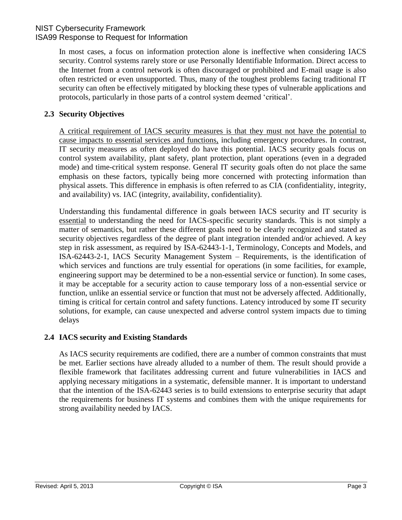In most cases, a focus on information protection alone is ineffective when considering IACS security. Control systems rarely store or use Personally Identifiable Information. Direct access to the Internet from a control network is often discouraged or prohibited and E-mail usage is also often restricted or even unsupported. Thus, many of the toughest problems facing traditional IT security can often be effectively mitigated by blocking these types of vulnerable applications and protocols, particularly in those parts of a control system deemed "critical".

### <span id="page-4-0"></span>**2.3 Security Objectives**

A critical requirement of IACS security measures is that they must not have the potential to cause impacts to essential services and functions, including emergency procedures. In contrast, IT security measures as often deployed do have this potential. IACS security goals focus on control system availability, plant safety, plant protection, plant operations (even in a degraded mode) and time-critical system response. General IT security goals often do not place the same emphasis on these factors, typically being more concerned with protecting information than physical assets. This difference in emphasis is often referred to as CIA (confidentiality, integrity, and availability) vs. IAC (integrity, availability, confidentiality).

Understanding this fundamental difference in goals between IACS security and IT security is essential to understanding the need for IACS-specific security standards. This is not simply a matter of semantics, but rather these different goals need to be clearly recognized and stated as security objectives regardless of the degree of plant integration intended and/or achieved. A key step in risk assessment, as required by ISA-62443-1-1, Terminology, Concepts and Models, and ISA-62443-2-1, IACS Security Management System – Requirements, is the identification of which services and functions are truly essential for operations (in some facilities, for example, engineering support may be determined to be a non-essential service or function). In some cases, it may be acceptable for a security action to cause temporary loss of a non-essential service or function, unlike an essential service or function that must not be adversely affected. Additionally, timing is critical for certain control and safety functions. Latency introduced by some IT security solutions, for example, can cause unexpected and adverse control system impacts due to timing delays

### <span id="page-4-1"></span>**2.4 IACS security and Existing Standards**

As IACS security requirements are codified, there are a number of common constraints that must be met. Earlier sections have already alluded to a number of them. The result should provide a flexible framework that facilitates addressing current and future vulnerabilities in IACS and applying necessary mitigations in a systematic, defensible manner. It is important to understand that the intention of the ISA-62443 series is to build extensions to enterprise security that adapt the requirements for business IT systems and combines them with the unique requirements for strong availability needed by IACS.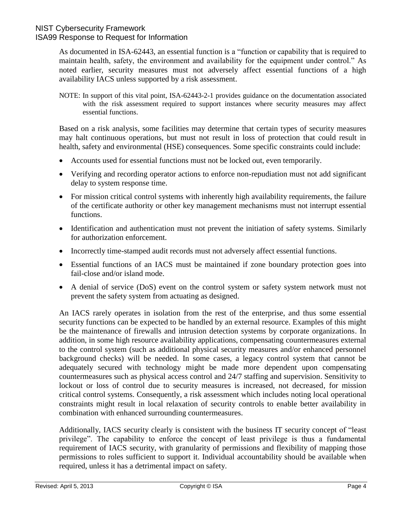As documented in ISA-62443, an essential function is a "function or capability that is required to maintain health, safety, the environment and availability for the equipment under control." As noted earlier, security measures must not adversely affect essential functions of a high availability IACS unless supported by a risk assessment.

NOTE: In support of this vital point, ISA-62443-2-1 provides guidance on the documentation associated with the risk assessment required to support instances where security measures may affect essential functions.

Based on a risk analysis, some facilities may determine that certain types of security measures may halt continuous operations, but must not result in loss of protection that could result in health, safety and environmental (HSE) consequences. Some specific constraints could include:

- Accounts used for essential functions must not be locked out, even temporarily.
- Verifying and recording operator actions to enforce non-repudiation must not add significant delay to system response time.
- For mission critical control systems with inherently high availability requirements, the failure of the certificate authority or other key management mechanisms must not interrupt essential functions.
- Identification and authentication must not prevent the initiation of safety systems. Similarly for authorization enforcement.
- Incorrectly time-stamped audit records must not adversely affect essential functions.
- Essential functions of an IACS must be maintained if zone boundary protection goes into fail-close and/or island mode.
- A denial of service (DoS) event on the control system or safety system network must not prevent the safety system from actuating as designed.

An IACS rarely operates in isolation from the rest of the enterprise, and thus some essential security functions can be expected to be handled by an external resource. Examples of this might be the maintenance of firewalls and intrusion detection systems by corporate organizations. In addition, in some high resource availability applications, compensating countermeasures external to the control system (such as additional physical security measures and/or enhanced personnel background checks) will be needed. In some cases, a legacy control system that cannot be adequately secured with technology might be made more dependent upon compensating countermeasures such as physical access control and 24/7 staffing and supervision. Sensitivity to lockout or loss of control due to security measures is increased, not decreased, for mission critical control systems. Consequently, a risk assessment which includes noting local operational constraints might result in local relaxation of security controls to enable better availability in combination with enhanced surrounding countermeasures.

Additionally, IACS security clearly is consistent with the business IT security concept of "least privilege". The capability to enforce the concept of least privilege is thus a fundamental requirement of IACS security, with granularity of permissions and flexibility of mapping those permissions to roles sufficient to support it. Individual accountability should be available when required, unless it has a detrimental impact on safety.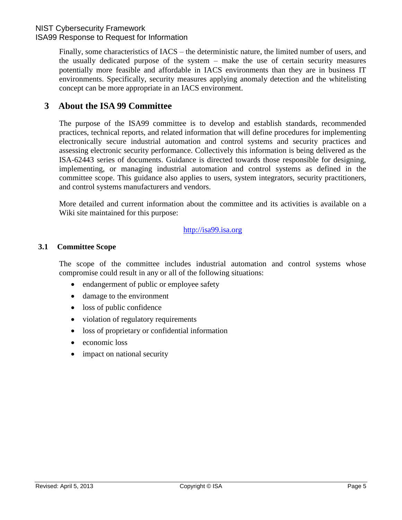Finally, some characteristics of IACS – the deterministic nature, the limited number of users, and the usually dedicated purpose of the system – make the use of certain security measures potentially more feasible and affordable in IACS environments than they are in business IT environments. Specifically, security measures applying anomaly detection and the whitelisting concept can be more appropriate in an IACS environment.

### <span id="page-6-0"></span>**3 About the ISA 99 Committee**

The purpose of the ISA99 committee is to develop and establish standards, recommended practices, technical reports, and related information that will define procedures for implementing electronically secure industrial automation and control systems and security practices and assessing electronic security performance. Collectively this information is being delivered as the ISA-62443 series of documents. Guidance is directed towards those responsible for designing, implementing, or managing industrial automation and control systems as defined in the committee scope. This guidance also applies to users, system integrators, security practitioners, and control systems manufacturers and vendors.

More detailed and current information about the committee and its activities is available on a Wiki site maintained for this purpose:

#### [http://isa99.isa.org](http://isa99.isa.org/)

### <span id="page-6-1"></span>**3.1 Committee Scope**

The scope of the committee includes industrial automation and control systems whose compromise could result in any or all of the following situations:

- endangerment of public or employee safety
- damage to the environment
- loss of public confidence
- violation of regulatory requirements
- loss of proprietary or confidential information
- economic loss
- impact on national security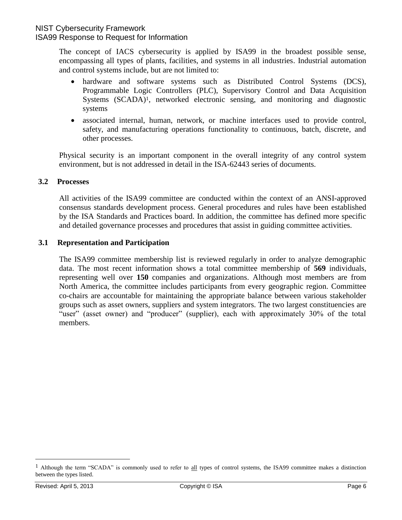The concept of IACS cybersecurity is applied by ISA99 in the broadest possible sense, encompassing all types of plants, facilities, and systems in all industries. Industrial automation and control systems include, but are not limited to:

- hardware and software systems such as Distributed Control Systems (DCS), Programmable Logic Controllers (PLC), Supervisory Control and Data Acquisition Systems (SCADA)1, networked electronic sensing, and monitoring and diagnostic systems
- associated internal, human, network, or machine interfaces used to provide control, safety, and manufacturing operations functionality to continuous, batch, discrete, and other processes.

Physical security is an important component in the overall integrity of any control system environment, but is not addressed in detail in the ISA-62443 series of documents.

#### <span id="page-7-0"></span>**3.2 Processes**

All activities of the ISA99 committee are conducted within the context of an ANSI-approved consensus standards development process. General procedures and rules have been established by the ISA Standards and Practices board. In addition, the committee has defined more specific and detailed governance processes and procedures that assist in guiding committee activities.

### <span id="page-7-1"></span>**3.1 Representation and Participation**

The ISA99 committee membership list is reviewed regularly in order to analyze demographic data. The most recent information shows a total committee membership of **569** individuals, representing well over **150** companies and organizations. Although most members are from North America, the committee includes participants from every geographic region. Committee co-chairs are accountable for maintaining the appropriate balance between various stakeholder groups such as asset owners, suppliers and system integrators. The two largest constituencies are "user" (asset owner) and "producer" (supplier), each with approximately 30% of the total members.

 $\overline{a}$ 

<sup>&</sup>lt;sup>1</sup> Although the term "SCADA" is commonly used to refer to all types of control systems, the ISA99 committee makes a distinction between the types listed.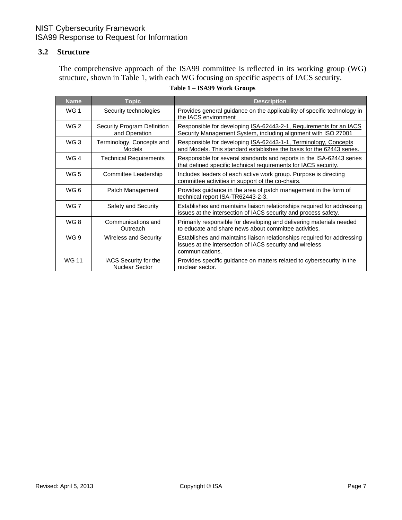### <span id="page-8-0"></span>**3.2 Structure**

The comprehensive approach of the ISA99 committee is reflected in its working group (WG) structure, shown in Table 1, with each WG focusing on specific aspects of IACS security.

| <b>Name</b>     | Topic                                                                                                                                         | <b>Description</b>                                                                                                                                     |
|-----------------|-----------------------------------------------------------------------------------------------------------------------------------------------|--------------------------------------------------------------------------------------------------------------------------------------------------------|
| <b>WG1</b>      | Security technologies                                                                                                                         | Provides general guidance on the applicability of specific technology in<br>the IACS environment                                                       |
| WG <sub>2</sub> | Security Program Definition<br>and Operation                                                                                                  | Responsible for developing ISA-62443-2-1, Requirements for an IACS<br>Security Management System, including alignment with ISO 27001                   |
| WG <sub>3</sub> | Terminology, Concepts and<br>Models                                                                                                           | Responsible for developing ISA-62443-1-1, Terminology, Concepts<br>and Models. This standard establishes the basis for the 62443 series.               |
| WG4             | <b>Technical Requirements</b>                                                                                                                 | Responsible for several standards and reports in the ISA-62443 series<br>that defined specific technical requirements for IACS security.               |
| WG <sub>5</sub> | Includes leaders of each active work group. Purpose is directing<br>Committee Leadership<br>committee activities in support of the co-chairs. |                                                                                                                                                        |
| WG <sub>6</sub> | Patch Management                                                                                                                              | Provides guidance in the area of patch management in the form of<br>technical report ISA-TR62443-2-3.                                                  |
| WG 7            | Safety and Security                                                                                                                           | Establishes and maintains liaison relationships required for addressing<br>issues at the intersection of IACS security and process safety.             |
| WG8             | Communications and<br>Outreach                                                                                                                | Primarily responsible for developing and delivering materials needed<br>to educate and share news about committee activities.                          |
| WG 9            | <b>Wireless and Security</b>                                                                                                                  | Establishes and maintains liaison relationships required for addressing<br>issues at the intersection of IACS security and wireless<br>communications. |
| <b>WG 11</b>    | IACS Security for the<br><b>Nuclear Sector</b>                                                                                                | Provides specific guidance on matters related to cybersecurity in the<br>nuclear sector.                                                               |

#### **Table 1 – ISA99 Work Groups**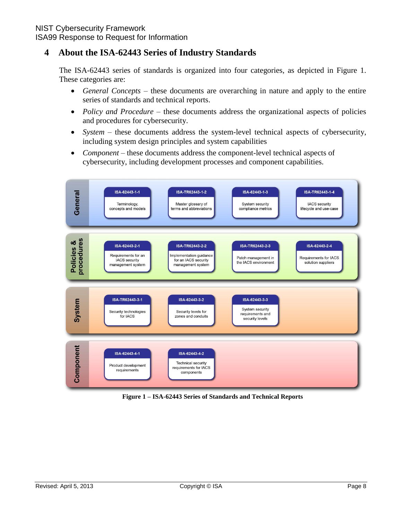## NIST Cybersecurity Framework

ISA99 Response to Request for Information

### <span id="page-9-0"></span>**4 About the ISA-62443 Series of Industry Standards**

The ISA-62443 series of standards is organized into four categories, as depicted in Figure 1. These categories are:

- *General Concepts* these documents are overarching in nature and apply to the entire series of standards and technical reports.
- *Policy and Procedure* these documents address the organizational aspects of policies and procedures for cybersecurity.
- *System* these documents address the system-level technical aspects of cybersecurity, including system design principles and system capabilities
- *Component* these documents address the component-level technical aspects of cybersecurity, including development processes and component capabilities.



**Figure 1 – ISA-62443 Series of Standards and Technical Reports**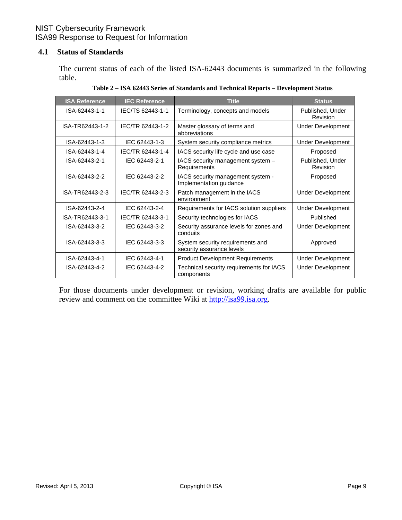### <span id="page-10-0"></span>**4.1 Status of Standards**

The current status of each of the listed ISA-62443 documents is summarized in the following table.

| <b>ISA Reference</b> | <b>IEC Reference</b> | <b>Title</b>                                                  | <b>Status</b>                |
|----------------------|----------------------|---------------------------------------------------------------|------------------------------|
| ISA-62443-1-1        | IEC/TS 62443-1-1     | Terminology, concepts and models                              | Published, Under<br>Revision |
| ISA-TR62443-1-2      | IFC/TR 62443-1-2     | Master glossary of terms and<br>abbreviations                 | <b>Under Development</b>     |
| ISA-62443-1-3        | IEC 62443-1-3        | System security compliance metrics                            | <b>Under Development</b>     |
| ISA-62443-1-4        | IEC/TR 62443-1-4     | IACS security life cycle and use case                         | Proposed                     |
| ISA-62443-2-1        | IEC 62443-2-1        | IACS security management system -<br>Requirements             | Published, Under<br>Revision |
| ISA-62443-2-2        | IFC 62443-2-2        | IACS security management system -<br>Implementation guidance  | Proposed                     |
| ISA-TR62443-2-3      | IEC/TR 62443-2-3     | Patch management in the IACS<br>environment                   | Under Development            |
| ISA-62443-2-4        | IEC 62443-2-4        | Requirements for IACS solution suppliers                      | <b>Under Development</b>     |
| ISA-TR62443-3-1      | IEC/TR 62443-3-1     | Security technologies for IACS                                | Published                    |
| ISA-62443-3-2        | IEC 62443-3-2        | Security assurance levels for zones and<br>conduits           | <b>Under Development</b>     |
| ISA-62443-3-3        | IEC 62443-3-3        | System security requirements and<br>security assurance levels | Approved                     |
| ISA-62443-4-1        | IEC 62443-4-1        | <b>Product Development Requirements</b>                       | <b>Under Development</b>     |
| ISA-62443-4-2        | IFC 62443-4-2        | Technical security requirements for IACS<br>components        | <b>Under Development</b>     |

**Table 2 – ISA 62443 Series of Standards and Technical Reports – Development Status**

For those documents under development or revision, working drafts are available for public review and comment on the committee Wiki at [http://isa99.isa.org.](http://isa99.isa.org/)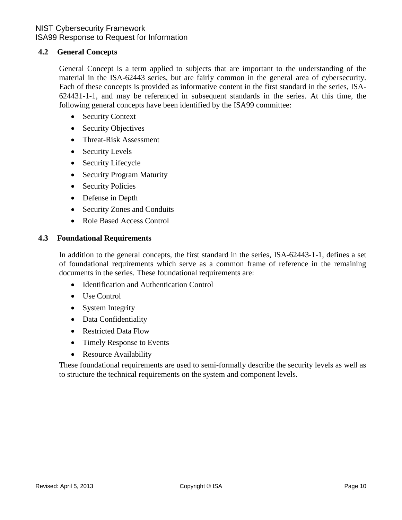### <span id="page-11-0"></span>**4.2 General Concepts**

General Concept is a term applied to subjects that are important to the understanding of the material in the ISA-62443 series, but are fairly common in the general area of cybersecurity. Each of these concepts is provided as informative content in the first standard in the series, ISA-624431-1-1, and may be referenced in subsequent standards in the series. At this time, the following general concepts have been identified by the ISA99 committee:

- Security Context
- Security Objectives
- Threat-Risk Assessment
- Security Levels
- Security Lifecycle
- Security Program Maturity
- Security Policies
- Defense in Depth
- Security Zones and Conduits
- Role Based Access Control

#### <span id="page-11-1"></span>**4.3 Foundational Requirements**

In addition to the general concepts, the first standard in the series, ISA-62443-1-1, defines a set of foundational requirements which serve as a common frame of reference in the remaining documents in the series. These foundational requirements are:

- Identification and Authentication Control
- Use Control
- System Integrity
- Data Confidentiality
- Restricted Data Flow
- Timely Response to Events
- Resource Availability

These foundational requirements are used to semi-formally describe the security levels as well as to structure the technical requirements on the system and component levels.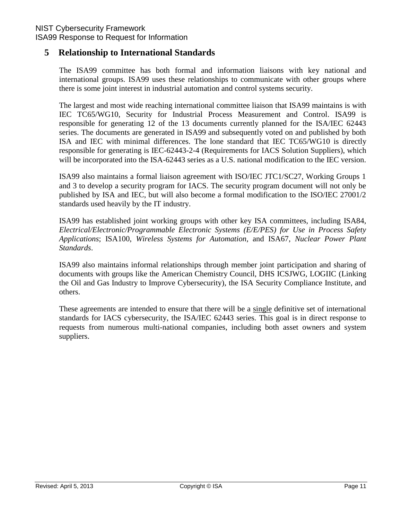### <span id="page-12-0"></span>**5 Relationship to International Standards**

The ISA99 committee has both formal and information liaisons with key national and international groups. ISA99 uses these relationships to communicate with other groups where there is some joint interest in industrial automation and control systems security.

The largest and most wide reaching international committee liaison that ISA99 maintains is with IEC TC65/WG10, Security for Industrial Process Measurement and Control. ISA99 is responsible for generating 12 of the 13 documents currently planned for the ISA/IEC 62443 series. The documents are generated in ISA99 and subsequently voted on and published by both ISA and IEC with minimal differences. The lone standard that IEC TC65/WG10 is directly responsible for generating is IEC-62443-2-4 (Requirements for IACS Solution Suppliers), which will be incorporated into the ISA-62443 series as a U.S. national modification to the IEC version.

ISA99 also maintains a formal liaison agreement with ISO/IEC JTC1/SC27, Working Groups 1 and 3 to develop a security program for IACS. The security program document will not only be published by ISA and IEC, but will also become a formal modification to the ISO/IEC 27001/2 standards used heavily by the IT industry.

ISA99 has established joint working groups with other key ISA committees, including ISA84, *Electrical/Electronic/Programmable Electronic Systems (E/E/PES) for Use in Process Safety Applications*; ISA100, *Wireless Systems for Automation*, and ISA67, *Nuclear Power Plant Standards*.

ISA99 also maintains informal relationships through member joint participation and sharing of documents with groups like the American Chemistry Council, DHS ICSJWG, LOGIIC (Linking the Oil and Gas Industry to Improve Cybersecurity), the ISA Security Compliance Institute, and others.

These agreements are intended to ensure that there will be a single definitive set of international standards for IACS cybersecurity, the ISA/IEC 62443 series. This goal is in direct response to requests from numerous multi-national companies, including both asset owners and system suppliers.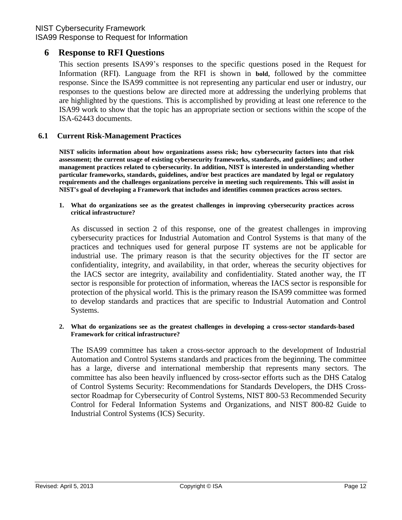### NIST Cybersecurity Framework

ISA99 Response to Request for Information

### <span id="page-13-0"></span>**6 Response to RFI Questions**

This section presents ISA99"s responses to the specific questions posed in the Request for Information (RFI). Language from the RFI is shown in **bold**, followed by the committee response. Since the ISA99 committee is not representing any particular end user or industry, our responses to the questions below are directed more at addressing the underlying problems that are highlighted by the questions. This is accomplished by providing at least one reference to the ISA99 work to show that the topic has an appropriate section or sections within the scope of the ISA-62443 documents.

### <span id="page-13-1"></span>**6.1 Current Risk-Management Practices**

**NIST solicits information about how organizations assess risk; how cybersecurity factors into that risk assessment; the current usage of existing cybersecurity frameworks, standards, and guidelines; and other management practices related to cybersecurity. In addition, NIST is interested in understanding whether particular frameworks, standards, guidelines, and/or best practices are mandated by legal or regulatory requirements and the challenges organizations perceive in meeting such requirements. This will assist in NIST's goal of developing a Framework that includes and identifies common practices across sectors.**

**1. What do organizations see as the greatest challenges in improving cybersecurity practices across critical infrastructure?**

As discussed in section 2 of this response, one of the greatest challenges in improving cybersecurity practices for Industrial Automation and Control Systems is that many of the practices and techniques used for general purpose IT systems are not be applicable for industrial use. The primary reason is that the security objectives for the IT sector are confidentiality, integrity, and availability, in that order, whereas the security objectives for the IACS sector are integrity, availability and confidentiality. Stated another way, the IT sector is responsible for protection of information, whereas the IACS sector is responsible for protection of the physical world. This is the primary reason the ISA99 committee was formed to develop standards and practices that are specific to Industrial Automation and Control Systems.

#### **2. What do organizations see as the greatest challenges in developing a cross-sector standards-based Framework for critical infrastructure?**

The ISA99 committee has taken a cross-sector approach to the development of Industrial Automation and Control Systems standards and practices from the beginning. The committee has a large, diverse and international membership that represents many sectors. The committee has also been heavily influenced by cross-sector efforts such as the DHS Catalog of Control Systems Security: Recommendations for Standards Developers, the DHS Crosssector Roadmap for Cybersecurity of Control Systems, NIST 800-53 Recommended Security Control for Federal Information Systems and Organizations, and NIST 800-82 Guide to Industrial Control Systems (ICS) Security.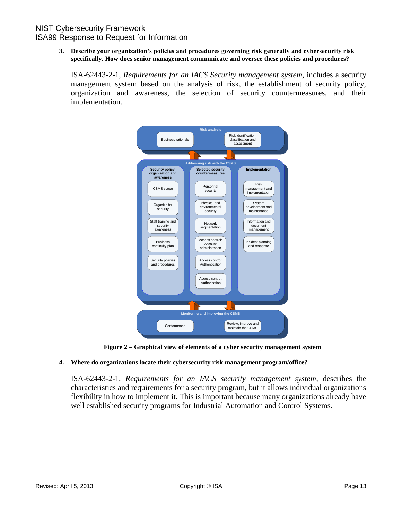**3. Describe your organization's policies and procedures governing risk generally and cybersecurity risk specifically. How does senior management communicate and oversee these policies and procedures?**

ISA-62443-2-1, *Requirements for an IACS Security management system*, includes a security management system based on the analysis of risk, the establishment of security policy, organization and awareness, the selection of security countermeasures, and their implementation.



**Figure 2 – Graphical view of elements of a cyber security management system**

#### **4. Where do organizations locate their cybersecurity risk management program/office?**

ISA-62443-2-1, *Requirements for an IACS security management system*, describes the characteristics and requirements for a security program, but it allows individual organizations flexibility in how to implement it. This is important because many organizations already have well established security programs for Industrial Automation and Control Systems.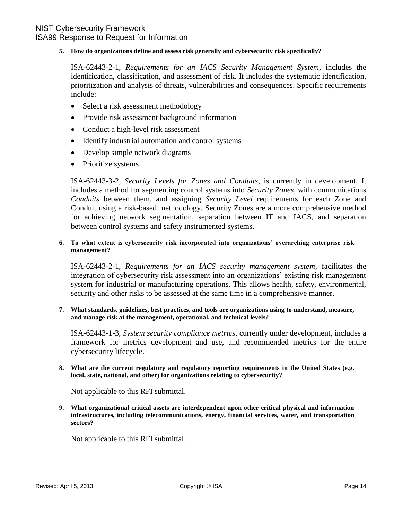#### **5. How do organizations define and assess risk generally and cybersecurity risk specifically?**

ISA-62443-2-1, *Requirements for an IACS Security Management System,* includes the identification, classification, and assessment of risk. It includes the systematic identification, prioritization and analysis of threats, vulnerabilities and consequences. Specific requirements include:

- Select a risk assessment methodology
- Provide risk assessment background information
- Conduct a high-level risk assessment
- Identify industrial automation and control systems
- Develop simple network diagrams
- Prioritize systems

ISA-62443-3-2, *Security Levels for Zones and Conduits*, is currently in development. It includes a method for segmenting control systems into *Security Zones*, with communications *Conduits* between them, and assigning *Security Level* requirements for each Zone and Conduit using a risk-based methodology. Security Zones are a more comprehensive method for achieving network segmentation, separation between IT and IACS, and separation between control systems and safety instrumented systems.

#### **6. To what extent is cybersecurity risk incorporated into organizations' overarching enterprise risk management?**

ISA-62443-2-1, *Requirements for an IACS security management system*, facilitates the integration of cybersecurity risk assessment into an organizations" existing risk management system for industrial or manufacturing operations. This allows health, safety, environmental, security and other risks to be assessed at the same time in a comprehensive manner.

**7. What standards, guidelines, best practices, and tools are organizations using to understand, measure, and manage risk at the management, operational, and technical levels?**

ISA-62443-1-3, *System security compliance metrics*, currently under development, includes a framework for metrics development and use, and recommended metrics for the entire cybersecurity lifecycle.

**8. What are the current regulatory and regulatory reporting requirements in the United States (e.g. local, state, national, and other) for organizations relating to cybersecurity?**

Not applicable to this RFI submittal.

**9. What organizational critical assets are interdependent upon other critical physical and information infrastructures, including telecommunications, energy, financial services, water, and transportation sectors?**

Not applicable to this RFI submittal.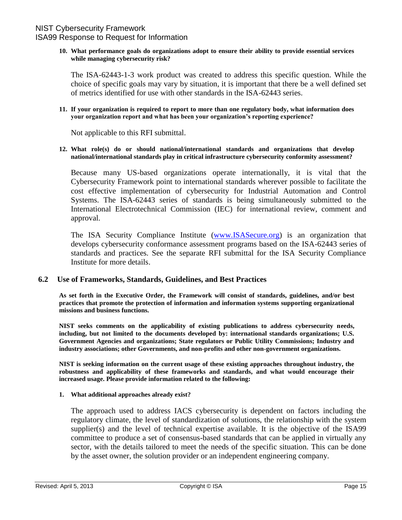#### **10. What performance goals do organizations adopt to ensure their ability to provide essential services while managing cybersecurity risk?**

The ISA-62443-1-3 work product was created to address this specific question. While the choice of specific goals may vary by situation, it is important that there be a well defined set of metrics identified for use with other standards in the ISA-62443 series.

#### **11. If your organization is required to report to more than one regulatory body, what information does your organization report and what has been your organization's reporting experience?**

Not applicable to this RFI submittal.

#### **12. What role(s) do or should national/international standards and organizations that develop national/international standards play in critical infrastructure cybersecurity conformity assessment?**

Because many US-based organizations operate internationally, it is vital that the Cybersecurity Framework point to international standards wherever possible to facilitate the cost effective implementation of cybersecurity for Industrial Automation and Control Systems. The ISA-62443 series of standards is being simultaneously submitted to the International Electrotechnical Commission (IEC) for international review, comment and approval.

The ISA Security Compliance Institute [\(www.ISASecure.org\)](http://www.isasecure.org/) is an organization that develops cybersecurity conformance assessment programs based on the ISA-62443 series of standards and practices. See the separate RFI submittal for the ISA Security Compliance Institute for more details.

#### <span id="page-16-0"></span>**6.2 Use of Frameworks, Standards, Guidelines, and Best Practices**

**As set forth in the Executive Order, the Framework will consist of standards, guidelines, and/or best practices that promote the protection of information and information systems supporting organizational missions and business functions.**

**NIST seeks comments on the applicability of existing publications to address cybersecurity needs, including, but not limited to the documents developed by: international standards organizations; U.S. Government Agencies and organizations; State regulators or Public Utility Commissions; Industry and industry associations; other Governments, and non-profits and other non-government organizations.**

**NIST is seeking information on the current usage of these existing approaches throughout industry, the robustness and applicability of these frameworks and standards, and what would encourage their increased usage. Please provide information related to the following:**

#### **1. What additional approaches already exist?**

The approach used to address IACS cybersecurity is dependent on factors including the regulatory climate, the level of standardization of solutions, the relationship with the system supplier(s) and the level of technical expertise available. It is the objective of the ISA99 committee to produce a set of consensus-based standards that can be applied in virtually any sector, with the details tailored to meet the needs of the specific situation. This can be done by the asset owner, the solution provider or an independent engineering company.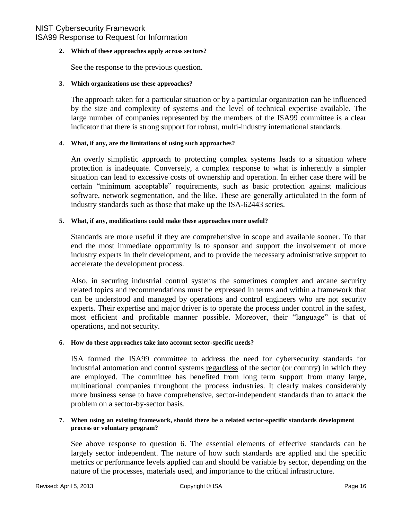#### **2. Which of these approaches apply across sectors?**

See the response to the previous question.

#### **3. Which organizations use these approaches?**

The approach taken for a particular situation or by a particular organization can be influenced by the size and complexity of systems and the level of technical expertise available. The large number of companies represented by the members of the ISA99 committee is a clear indicator that there is strong support for robust, multi-industry international standards.

#### **4. What, if any, are the limitations of using such approaches?**

An overly simplistic approach to protecting complex systems leads to a situation where protection is inadequate. Conversely, a complex response to what is inherently a simpler situation can lead to excessive costs of ownership and operation. In either case there will be certain "minimum acceptable" requirements, such as basic protection against malicious software, network segmentation, and the like. These are generally articulated in the form of industry standards such as those that make up the ISA-62443 series.

#### **5. What, if any, modifications could make these approaches more useful?**

Standards are more useful if they are comprehensive in scope and available sooner. To that end the most immediate opportunity is to sponsor and support the involvement of more industry experts in their development, and to provide the necessary administrative support to accelerate the development process.

Also, in securing industrial control systems the sometimes complex and arcane security related topics and recommendations must be expressed in terms and within a framework that can be understood and managed by operations and control engineers who are not security experts. Their expertise and major driver is to operate the process under control in the safest, most efficient and profitable manner possible. Moreover, their "language" is that of operations, and not security.

#### **6. How do these approaches take into account sector-specific needs?**

ISA formed the ISA99 committee to address the need for cybersecurity standards for industrial automation and control systems regardless of the sector (or country) in which they are employed. The committee has benefited from long term support from many large, multinational companies throughout the process industries. It clearly makes considerably more business sense to have comprehensive, sector-independent standards than to attack the problem on a sector-by-sector basis.

#### **7. When using an existing framework, should there be a related sector-specific standards development process or voluntary program?**

See above response to question 6. The essential elements of effective standards can be largely sector independent. The nature of how such standards are applied and the specific metrics or performance levels applied can and should be variable by sector, depending on the nature of the processes, materials used, and importance to the critical infrastructure.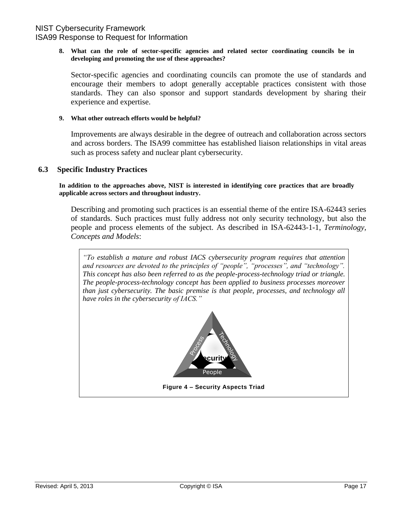#### **8. What can the role of sector-specific agencies and related sector coordinating councils be in developing and promoting the use of these approaches?**

Sector-specific agencies and coordinating councils can promote the use of standards and encourage their members to adopt generally acceptable practices consistent with those standards. They can also sponsor and support standards development by sharing their experience and expertise.

#### **9. What other outreach efforts would be helpful?**

Improvements are always desirable in the degree of outreach and collaboration across sectors and across borders. The ISA99 committee has established liaison relationships in vital areas such as process safety and nuclear plant cybersecurity.

#### <span id="page-18-0"></span>**6.3 Specific Industry Practices**

**In addition to the approaches above, NIST is interested in identifying core practices that are broadly applicable across sectors and throughout industry.**

Describing and promoting such practices is an essential theme of the entire ISA-62443 series of standards. Such practices must fully address not only security technology, but also the people and process elements of the subject. As described in ISA-62443-1-1, *Terminology, Concepts and Models*:

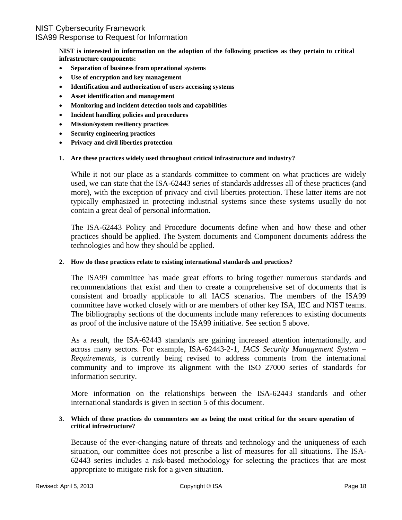**NIST is interested in information on the adoption of the following practices as they pertain to critical infrastructure components:**

- **Separation of business from operational systems**
- **Use of encryption and key management**
- **Identification and authorization of users accessing systems**
- **Asset identification and management**
- **Monitoring and incident detection tools and capabilities**
- **Incident handling policies and procedures**
- **Mission/system resiliency practices**
- **Security engineering practices**
- **Privacy and civil liberties protection**

#### **1. Are these practices widely used throughout critical infrastructure and industry?**

While it not our place as a standards committee to comment on what practices are widely used, we can state that the ISA-62443 series of standards addresses all of these practices (and more), with the exception of privacy and civil liberties protection. These latter items are not typically emphasized in protecting industrial systems since these systems usually do not contain a great deal of personal information.

The ISA-62443 Policy and Procedure documents define when and how these and other practices should be applied. The System documents and Component documents address the technologies and how they should be applied.

#### **2. How do these practices relate to existing international standards and practices?**

The ISA99 committee has made great efforts to bring together numerous standards and recommendations that exist and then to create a comprehensive set of documents that is consistent and broadly applicable to all IACS scenarios. The members of the ISA99 committee have worked closely with or are members of other key ISA, IEC and NIST teams. The bibliography sections of the documents include many references to existing documents as proof of the inclusive nature of the ISA99 initiative. See section 5 above.

As a result, the ISA-62443 standards are gaining increased attention internationally, and across many sectors. For example, ISA-62443-2-1, *IACS Security Management System – Requirements,* is currently being revised to address comments from the international community and to improve its alignment with the ISO 27000 series of standards for information security.

More information on the relationships between the ISA-62443 standards and other international standards is given in section 5 of this document.

#### **3. Which of these practices do commenters see as being the most critical for the secure operation of critical infrastructure?**

Because of the ever-changing nature of threats and technology and the uniqueness of each situation, our committee does not prescribe a list of measures for all situations. The ISA-62443 series includes a risk-based methodology for selecting the practices that are most appropriate to mitigate risk for a given situation.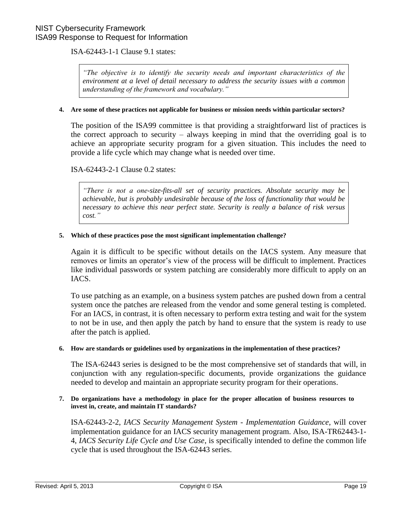ISA-62443-1-1 Clause 9.1 states:

*"The objective is to identify the security needs and important characteristics of the environment at a level of detail necessary to address the security issues with a common understanding of the framework and vocabulary."*

#### **4. Are some of these practices not applicable for business or mission needs within particular sectors?**

The position of the ISA99 committee is that providing a straightforward list of practices is the correct approach to security – always keeping in mind that the overriding goal is to achieve an appropriate security program for a given situation. This includes the need to provide a life cycle which may change what is needed over time.

#### ISA-62443-2-1 Clause 0.2 states:

*"There is not a one-size-fits-all set of security practices. Absolute security may be achievable, but is probably undesirable because of the loss of functionality that would be necessary to achieve this near perfect state. Security is really a balance of risk versus cost."*

#### **5. Which of these practices pose the most significant implementation challenge?**

Again it is difficult to be specific without details on the IACS system. Any measure that removes or limits an operator's view of the process will be difficult to implement. Practices like individual passwords or system patching are considerably more difficult to apply on an IACS.

To use patching as an example, on a business system patches are pushed down from a central system once the patches are released from the vendor and some general testing is completed. For an IACS, in contrast, it is often necessary to perform extra testing and wait for the system to not be in use, and then apply the patch by hand to ensure that the system is ready to use after the patch is applied.

#### **6. How are standards or guidelines used by organizations in the implementation of these practices?**

The ISA-62443 series is designed to be the most comprehensive set of standards that will, in conjunction with any regulation-specific documents, provide organizations the guidance needed to develop and maintain an appropriate security program for their operations.

#### **7. Do organizations have a methodology in place for the proper allocation of business resources to invest in, create, and maintain IT standards?**

ISA-62443-2-2, *IACS Security Management System - Implementation Guidance*, will cover implementation guidance for an IACS security management program. Also, ISA-TR62443-1- 4, *IACS Security Life Cycle and Use Case*, is specifically intended to define the common life cycle that is used throughout the ISA-62443 series.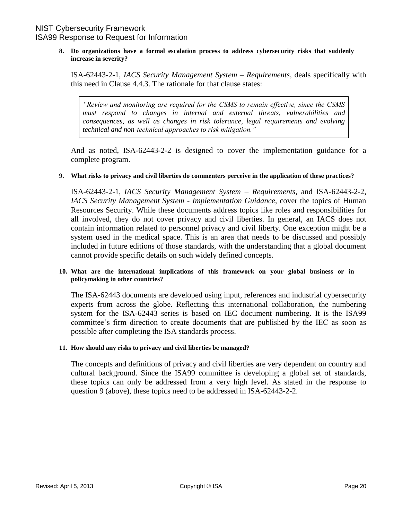**8. Do organizations have a formal escalation process to address cybersecurity risks that suddenly increase in severity?**

ISA-62443-2-1, *IACS Security Management System – Requirements*, deals specifically with this need in Clause 4.4.3. The rationale for that clause states:

*"Review and monitoring are required for the CSMS to remain effective, since the CSMS must respond to changes in internal and external threats, vulnerabilities and consequences, as well as changes in risk tolerance, legal requirements and evolving technical and non-technical approaches to risk mitigation."*

And as noted, ISA-62443-2-2 is designed to cover the implementation guidance for a complete program.

#### **9. What risks to privacy and civil liberties do commenters perceive in the application of these practices?**

ISA-62443-2-1, *IACS Security Management System – Requirements,* and ISA-62443-2-2, *IACS Security Management System - Implementation Guidance,* cover the topics of Human Resources Security. While these documents address topics like roles and responsibilities for all involved, they do not cover privacy and civil liberties. In general, an IACS does not contain information related to personnel privacy and civil liberty. One exception might be a system used in the medical space. This is an area that needs to be discussed and possibly included in future editions of those standards, with the understanding that a global document cannot provide specific details on such widely defined concepts.

#### **10. What are the international implications of this framework on your global business or in policymaking in other countries?**

The ISA-62443 documents are developed using input, references and industrial cybersecurity experts from across the globe. Reflecting this international collaboration, the numbering system for the ISA-62443 series is based on IEC document numbering. It is the ISA99 committee"s firm direction to create documents that are published by the IEC as soon as possible after completing the ISA standards process.

#### **11. How should any risks to privacy and civil liberties be managed?**

The concepts and definitions of privacy and civil liberties are very dependent on country and cultural background. Since the ISA99 committee is developing a global set of standards, these topics can only be addressed from a very high level. As stated in the response to question 9 (above), these topics need to be addressed in ISA-62443-2-2.